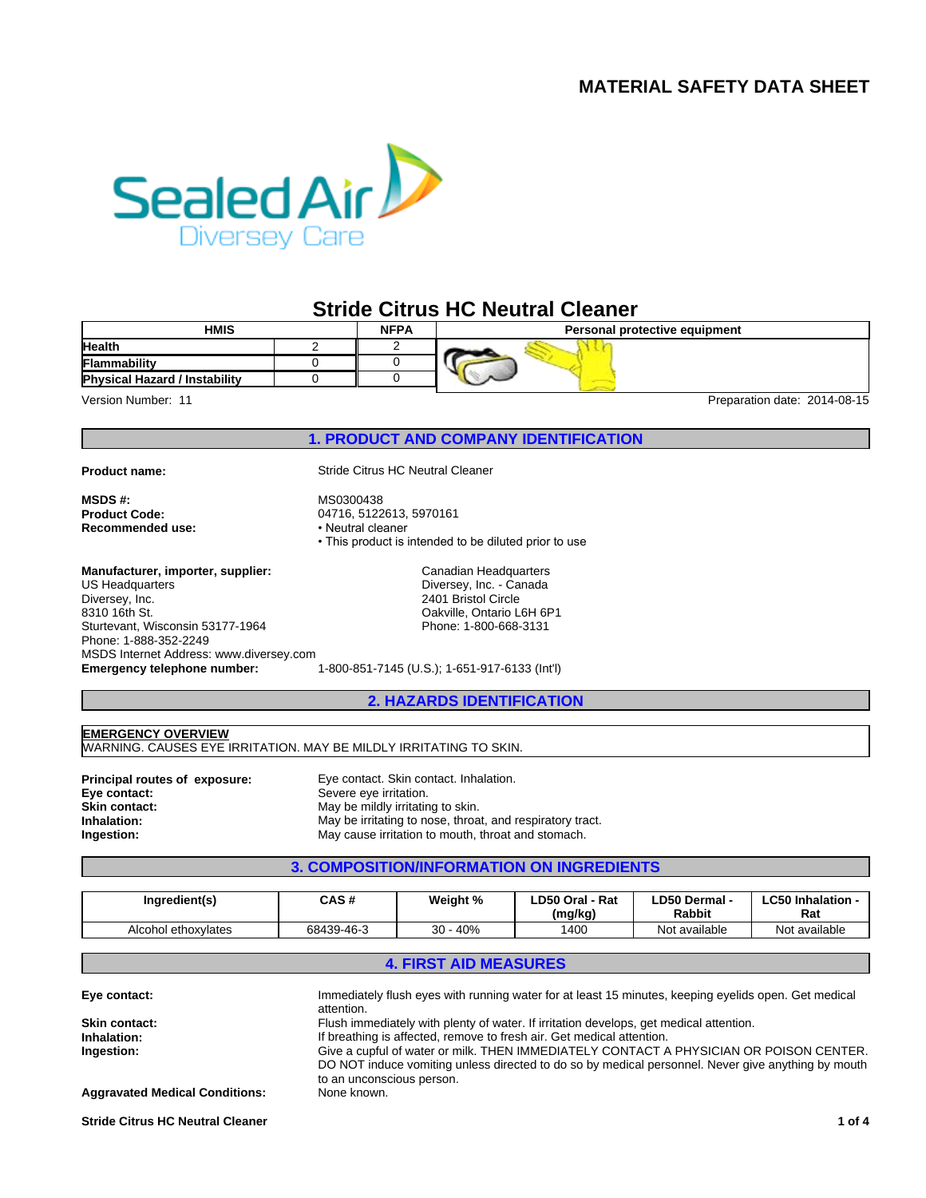# **MATERIAL SAFETY DATA SHEET**



# **Stride Citrus HC Neutral Cleaner**

| <b>HMIS</b><br><b>NFPA</b>           |  |  | Personal protective equipment |  |  |
|--------------------------------------|--|--|-------------------------------|--|--|
| <b>Health</b>                        |  |  |                               |  |  |
| <b>Flammability</b>                  |  |  |                               |  |  |
| <b>Physical Hazard / Instability</b> |  |  | $-$                           |  |  |

Version Number: 11 **Preparation date: 2014-08-15** 

**1. PRODUCT AND COMPANY IDENTIFICATION**

**MSDS #:** MS0300438<br> **Product Code:** 2002 04716, 5122 **Recommended use:** 

**Manufacturer, importer, supplier:**

**Emergency telephone number:** 1-800-851-7145 (U.S.); 1-651-917-6133 (Int'l) US Headquarters Diversey, Inc. 8310 16th St. Sturtevant, Wisconsin 53177-1964 Phone: 1-888-352-2249 MSDS Internet Address: www.diversey.com

**Product name:** Stride Citrus HC Neutral Cleaner

04716, 5122613, 5970161<br>**•** Neutral cleaner • This product is intended to be diluted prior to use

> Canadian Headquarters Diversey, Inc. - Canada 2401 Bristol Circle Oakville, Ontario L6H 6P1 Phone: 1-800-668-3131

**2. HAZARDS IDENTIFICATION**

**EMERGENCY OVERVIEW** WARNING. CAUSES EYE IRRITATION. MAY BE MILDLY IRRITATING TO SKIN.

**Eye contact:** Severe eye irritation.<br> **Skin contact:** Skin contact: May be mildly irritating **Skin contact:** May be mildly irritating to skin.<br> **Inhalation:** May be irritating to nose, throa

**Principal routes of exposure:** Eye contact. Skin contact. Inhalation. **Inhalation:** May be irritating to nose, throat, and respiratory tract.<br> **Ingestion:** May cause irritation to mouth, throat and stomach. **Ingestion:** May cause irritation to mouth, throat and stomach.

# **3. COMPOSITION/INFORMATION ON INGREDIENTS**

| Ingredient(s)       | CAS#       | Weight %   | LD50 Oral - Rat<br>(mg/kg) | LD50 Dermal -<br><b>Rabbit</b> | <b>LC50 Inhalation -</b><br>Rat |
|---------------------|------------|------------|----------------------------|--------------------------------|---------------------------------|
| Alcohol ethoxylates | 68439-46-3 | $30 - 40%$ | 1400                       | Not available                  | Not available                   |

### **4. FIRST AID MEASURES**

| Eye contact:                          | Immediately flush eyes with running water for at least 15 minutes, keeping eyelids open. Get medical<br>attention. |
|---------------------------------------|--------------------------------------------------------------------------------------------------------------------|
| Skin contact:                         | Flush immediately with plenty of water. If irritation develops, get medical attention.                             |
| Inhalation:                           | If breathing is affected, remove to fresh air. Get medical attention.                                              |
| Ingestion:                            | Give a cupful of water or milk. THEN IMMEDIATELY CONTACT A PHYSICIAN OR POISON CENTER.                             |
|                                       | DO NOT induce vomiting unless directed to do so by medical personnel. Never give anything by mouth                 |
|                                       | to an unconscious person.                                                                                          |
| <b>Aggravated Medical Conditions:</b> | None known.                                                                                                        |
|                                       |                                                                                                                    |

**Stride Citrus HC Neutral Cleaner 1 of 4**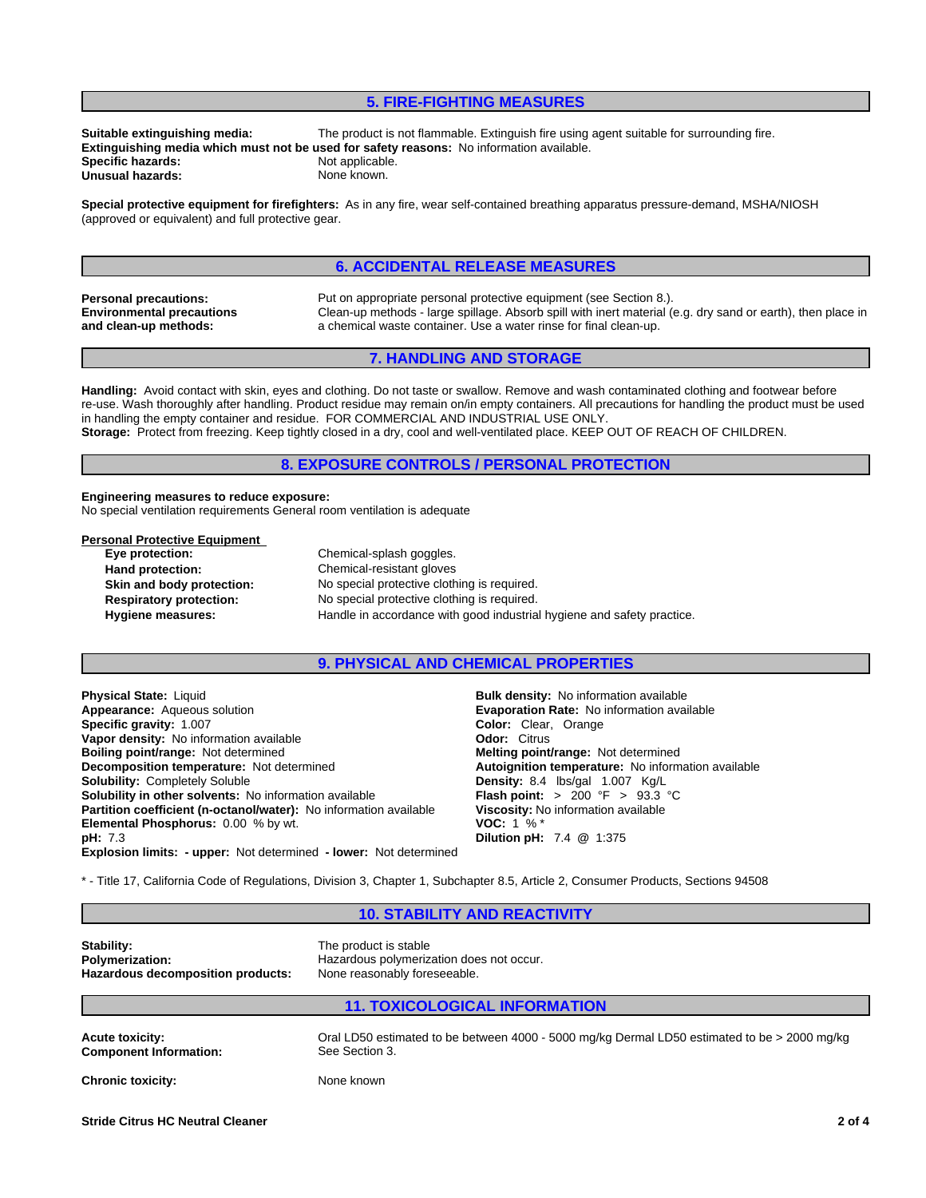### **5. FIRE-FIGHTING MEASURES**

**Specific hazards:** Not applicable.<br> **Unusual hazards:** None known. **Unusual hazards:** 

**Suitable extinguishing media:** The product is not flammable. Extinguish fire using agent suitable for surrounding fire. **Extinguishing media which must not be used for safety reasons:** No information available.

**Special protective equipment for firefighters:** As in any fire, wear self-contained breathing apparatus pressure-demand, MSHA/NIOSH (approved or equivalent) and full protective gear.

# **6. ACCIDENTAL RELEASE MEASURES**

**Environmental precautions and clean-up methods:**

**Personal precautions:** Put on appropriate personal protective equipment (see Section 8.). Clean-up methods - large spillage. Absorb spill with inert material (e.g. dry sand or earth), then place in a chemical waste container. Use a water rinse for final clean-up.

### **7. HANDLING AND STORAGE**

**Handling:** Avoid contact with skin, eyes and clothing. Do not taste or swallow. Remove and wash contaminated clothing and footwear before re-use. Wash thoroughly after handling. Product residue may remain on/in empty containers. All precautions for handling the product must be used in handling the empty container and residue. FOR COMMERCIAL AND INDUSTRIAL USE ONLY. **Storage:** Protect from freezing. Keep tightly closed in a dry, cool and well-ventilated place. KEEP OUT OF REACH OF CHILDREN.

### **8. EXPOSURE CONTROLS / PERSONAL PROTECTION**

## **Engineering measures to reduce exposure:**

No special ventilation requirements General room ventilation is adequate

### **Personal Protective Equipment**

**Eye protection:** Chemical-splash goggles. **Hand protection:** Chemical-resistant gloves **Skin and body protection:** No special protective clothing is required.<br> **Respiratory protection:** No special protective clothing is required. No special protective clothing is required. **Hygiene measures:** Handle in accordance with good industrial hygiene and safety practice.

### **9. PHYSICAL AND CHEMICAL PROPERTIES**

**Explosion limits: - upper:** Not determined **- lower:** Not determined **Physical State:** Liquid **Bulk density:** No information available **Appearance:** Aqueous solution **Example 2018** Evaporation Rate: No information available<br> **Specific gravity:** 1.007 **Example 2018 Color:** Clear, Orange **Color:** Clear, Orange **Specific gravity: 1.007 Color: Clear Vapor density: No information available <b>Color: Clear Citrus Color: Citrus Vapor density:** No information available **Boiling point/range:** Not determined **Boiling point/range:** Not determined **Melting point/range:** Not determined **Decomposition temperature:** Not determined **Autoignition temperature:** No information available<br> **Solubility:** Completely Soluble<br> **Solubility:** Completely Soluble **Solubility in other solvents: No information available Partition coefficient (n-octanol/water):** No information available **Viscosity:** No information available<br>**Elemental Phosphorus:** 0.00 % by wt.<br>**VOC:** 1 % \* **Elemental Phosphorus: 0.00 % by wt. pH:** 7.3 **Dilution pH:** 7.4 **@** 1:375

**Density:** 8.4 lbs/gal 1.007 Kg/L<br>**Flash point:** > 200 °F > 93.3 °C

\* - Title 17, California Code of Regulations, Division 3, Chapter 1, Subchapter 8.5, Article 2, Consumer Products, Sections 94508

**10. STABILITY AND REACTIVITY**

**Stability:**<br> **Polymerization:**<br> **Polymerization:**<br> **Polymerization:**<br> **Polymerization: Hazardous decomposition products:** None reasonably foreseeable.

# **Polymerization:** Hazardous polymerization does not occur.

### **11. TOXICOLOGICAL INFORMATION**

| <b>Acute toxicity:</b>        | Oral LD50 estimated to be between 4000 - 5000 mg/kg Dermal LD50 estimated to be > 2000 mg/kg |
|-------------------------------|----------------------------------------------------------------------------------------------|
| <b>Component Information:</b> | See Section 3.                                                                               |
| Chronic toxicity:             | None known                                                                                   |

**Stride Citrus HC Neutral Cleaner 2 of 4**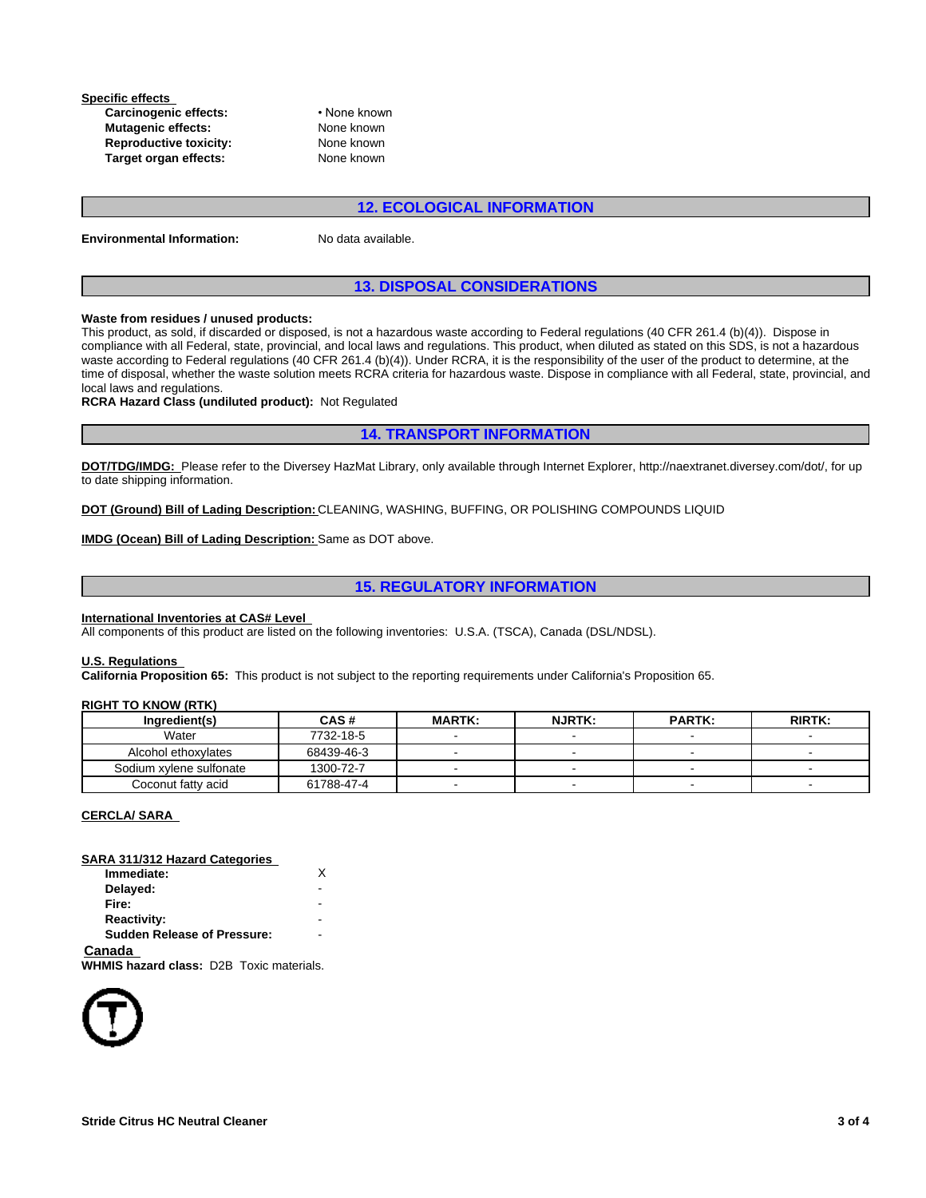**Specific effects Carcinogenic effects:** • None known **Mutagenic effects:** None known **Reproductive toxicity:** None known<br> **Target organ effects:** None known **Target organ effects:** 

### **12. ECOLOGICAL INFORMATION**

| <b>Environmental Information:</b> |  |
|-----------------------------------|--|
|-----------------------------------|--|

No data available.

### **13. DISPOSAL CONSIDERATIONS**

### **Waste from residues / unused products:**

This product, as sold, if discarded or disposed, is not a hazardous waste according to Federal regulations (40 CFR 261.4 (b)(4)). Dispose in compliance with all Federal, state, provincial, and local laws and regulations. This product, when diluted as stated on this SDS, is not a hazardous waste according to Federal regulations (40 CFR 261.4 (b)(4)). Under RCRA, it is the responsibility of the user of the product to determine, at the time of disposal, whether the waste solution meets RCRA criteria for hazardous waste. Dispose in compliance with all Federal, state, provincial, and local laws and regulations.

**RCRA Hazard Class (undiluted product):** Not Regulated

**14. TRANSPORT INFORMATION**

**DOT/TDG/IMDG:** Please refer to the Diversey HazMat Library, only available through Internet Explorer, http://naextranet.diversey.com/dot/, for up to date shipping information.

**DOT (Ground) Bill of Lading Description:** CLEANING, WASHING, BUFFING, OR POLISHING COMPOUNDS LIQUID

**IMDG (Ocean) Bill of Lading Description:**  Same as DOT above.

### **15. REGULATORY INFORMATION**

### **International Inventories at CAS# Level**

All components of this product are listed on the following inventories: U.S.A. (TSCA), Canada (DSL/NDSL).

### **U.S. Regulations**

**California Proposition 65:** This product is not subject to the reporting requirements under California's Proposition 65.

### **RIGHT TO KNOW (RTK)**

| Inaredient(s)           | CAS#       | <b>MARTK:</b> | <b>NJRTK:</b>            | <b>PARTK:</b> | <b>RIRTK:</b> |
|-------------------------|------------|---------------|--------------------------|---------------|---------------|
| Water                   | 7732-18-5  |               |                          |               |               |
| Alcohol ethoxylates     | 68439-46-3 |               |                          |               |               |
| Sodium xylene sulfonate | 1300-72-7  |               |                          |               |               |
| Coconut fatty acid      | 61788-47-4 |               | $\overline{\phantom{a}}$ | -             |               |

### **CERCLA/ SARA**

| SARA 311/312 Hazard Categories                  |   |  |
|-------------------------------------------------|---|--|
| Immediate:                                      | x |  |
| Delayed:                                        |   |  |
| Fire:                                           |   |  |
| <b>Reactivity:</b>                              |   |  |
| <b>Sudden Release of Pressure:</b>              |   |  |
| Canada                                          |   |  |
| <b>WHMIS hazard class: D2B Toxic materials.</b> |   |  |